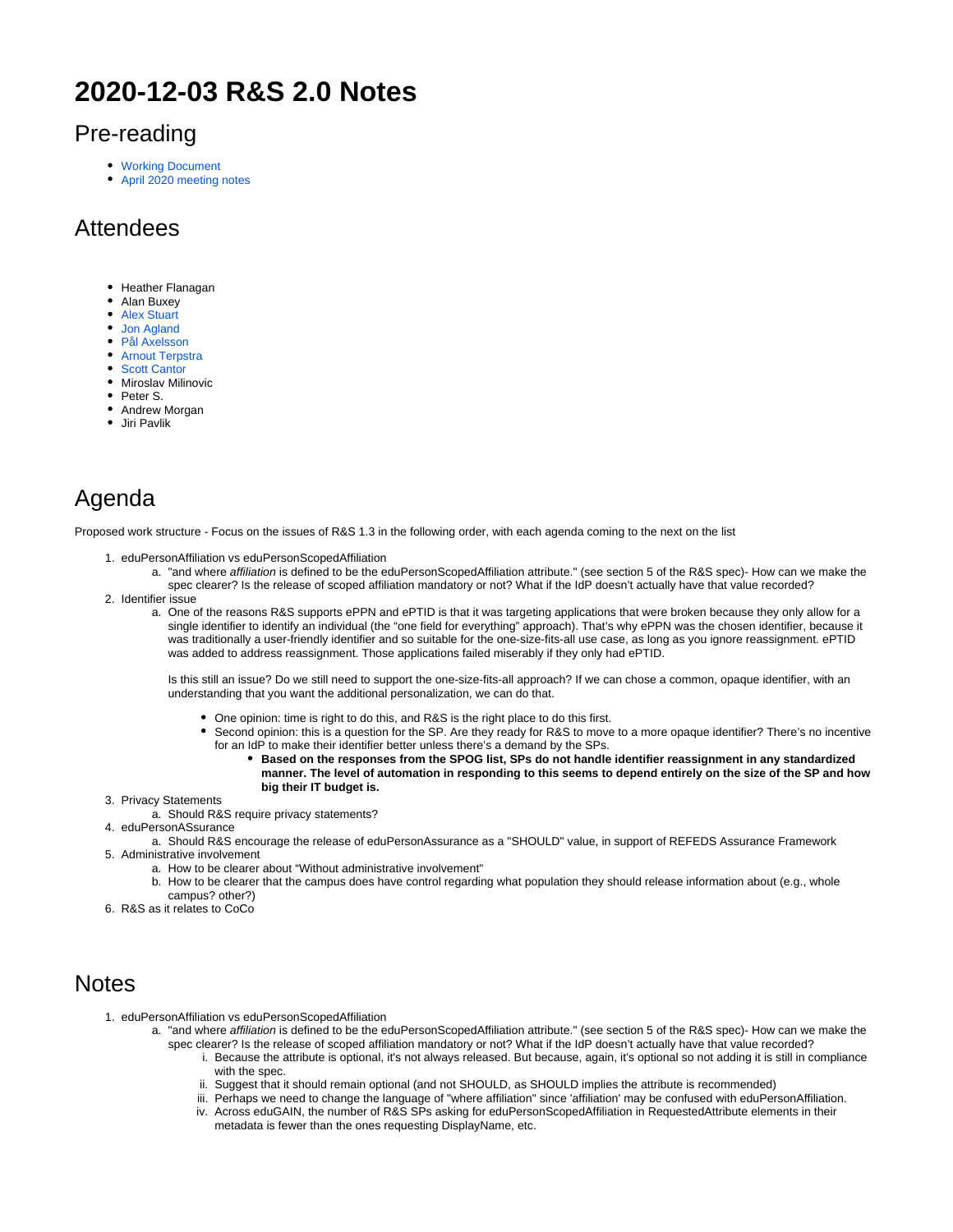# **2020-12-03 R&S 2.0 Notes**

#### Pre-reading

- [Working Document](https://docs.google.com/document/d/13G6aDjaeHD9SYB_er8cc_FOqbt7MD7cJZnxLqkG25P8/edit)
- [April 2020 meeting notes](https://wiki.refeds.org/pages/viewpage.action?pageId=57147580)

### Attendees

- Heather Flanagan
- Alan Buxev
- [Alex Stuart](https://wiki.refeds.org/display/~federated-user-4882)
- [Jon Agland](https://wiki.refeds.org/display/~federated-user-4807)
- [Pål Axelsson](https://wiki.refeds.org/display/~federated-user-5681)
- [Arnout Terpstra](https://wiki.refeds.org/display/~federated-user-268) • [Scott Cantor](https://wiki.refeds.org/display/~federated-user-772)
- Miroslav Milinovic
- Peter S.
- Andrew Morgan
- Jiri Pavlik

## Agenda

Proposed work structure - Focus on the issues of R&S 1.3 in the following order, with each agenda coming to the next on the list

- 1. eduPersonAffiliation vs eduPersonScopedAffiliation
	- a. "and where affiliation is defined to be the eduPersonScopedAffiliation attribute." (see section 5 of the R&S spec)- How can we make the spec clearer? Is the release of scoped affiliation mandatory or not? What if the IdP doesn't actually have that value recorded?
- 2. Identifier issue
	- a. One of the reasons R&S supports ePPN and ePTID is that it was targeting applications that were broken because they only allow for a single identifier to identify an individual (the "one field for everything" approach). That's why ePPN was the chosen identifier, because it was traditionally a user-friendly identifier and so suitable for the one-size-fits-all use case, as long as you ignore reassignment. ePTID was added to address reassignment. Those applications failed miserably if they only had ePTID.

Is this still an issue? Do we still need to support the one-size-fits-all approach? If we can chose a common, opaque identifier, with an understanding that you want the additional personalization, we can do that.

- One opinion: time is right to do this, and R&S is the right place to do this first.
- Second opinion: this is a question for the SP. Are they ready for R&S to move to a more opaque identifier? There's no incentive for an IdP to make their identifier better unless there's a demand by the SPs.
	- **Based on the responses from the SPOG list, SPs do not handle identifier reassignment in any standardized manner. The level of automation in responding to this seems to depend entirely on the size of the SP and how big their IT budget is.**
- 3. Privacy Statements
- a. Should R&S require privacy statements?
- 4. eduPersonASsurance
- a. Should R&S encourage the release of eduPersonAssurance as a "SHOULD" value, in support of REFEDS Assurance Framework 5. Administrative involvement
	- a. How to be clearer about "Without administrative involvement"
	- b. How to be clearer that the campus does have control regarding what population they should release information about (e.g., whole campus? other?)
- 6. R&S as it relates to CoCo

#### **Notes**

- 1. eduPersonAffiliation vs eduPersonScopedAffiliation
	- a. "and where affiliation is defined to be the eduPersonScopedAffiliation attribute." (see section 5 of the R&S spec)- How can we make the spec clearer? Is the release of scoped affiliation mandatory or not? What if the IdP doesn't actually have that value recorded?
		- i. Because the attribute is optional, it's not always released. But because, again, it's optional so not adding it is still in compliance with the spec.
		- ii. Suggest that it should remain optional (and not SHOULD, as SHOULD implies the attribute is recommended)
		- iii. Perhaps we need to change the language of "where affiliation" since 'affiliation' may be confused with eduPersonAffiliation. iv. Across eduGAIN, the number of R&S SPs asking for eduPersonScopedAffiliation in RequestedAttribute elements in their metadata is fewer than the ones requesting DisplayName, etc.